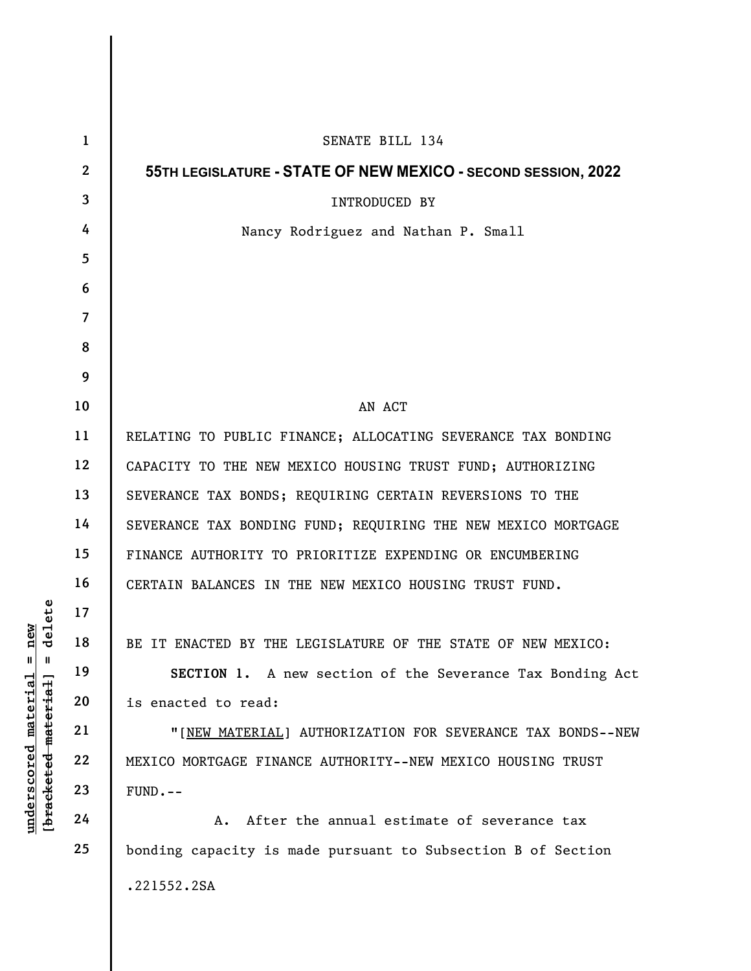|                                                                                                 | $\mathbf{1}$   | SENATE BILL 134                                                  |
|-------------------------------------------------------------------------------------------------|----------------|------------------------------------------------------------------|
| delete<br>$n$ ew<br>$\mathsf{I}$<br>Ш<br><u>material</u><br>[bracketed material]<br>underscored | $\mathbf{2}$   | 55TH LEGISLATURE - STATE OF NEW MEXICO - SECOND SESSION, 2022    |
|                                                                                                 | $\mathbf{3}$   | INTRODUCED BY                                                    |
|                                                                                                 | 4              | Nancy Rodriguez and Nathan P. Small                              |
|                                                                                                 | 5              |                                                                  |
|                                                                                                 | 6              |                                                                  |
|                                                                                                 | $\overline{7}$ |                                                                  |
|                                                                                                 | 8              |                                                                  |
|                                                                                                 | 9              |                                                                  |
|                                                                                                 | 10             | AN ACT                                                           |
|                                                                                                 | 11             | RELATING TO PUBLIC FINANCE; ALLOCATING SEVERANCE TAX BONDING     |
|                                                                                                 | 12             | CAPACITY TO THE NEW MEXICO HOUSING TRUST FUND; AUTHORIZING       |
|                                                                                                 | 13             | SEVERANCE TAX BONDS; REQUIRING CERTAIN REVERSIONS TO THE         |
|                                                                                                 | 14             | SEVERANCE TAX BONDING FUND; REQUIRING THE NEW MEXICO MORTGAGE    |
|                                                                                                 | 15             | FINANCE AUTHORITY TO PRIORITIZE EXPENDING OR ENCUMBERING         |
|                                                                                                 | 16             | CERTAIN BALANCES IN THE NEW MEXICO HOUSING TRUST FUND.           |
|                                                                                                 | 17             |                                                                  |
|                                                                                                 | 18             | BE IT ENACTED BY THE LEGISLATURE OF THE STATE OF NEW MEXICO:     |
|                                                                                                 | 19             | <b>SECTION 1.</b> A new section of the Severance Tax Bonding Act |
|                                                                                                 | 20             | is enacted to read:                                              |
|                                                                                                 | 21             | "[NEW MATERIAL] AUTHORIZATION FOR SEVERANCE TAX BONDS--NEW       |
|                                                                                                 | 22             | MEXICO MORTGAGE FINANCE AUTHORITY--NEW MEXICO HOUSING TRUST      |
|                                                                                                 | 23             | $FUND. - -$                                                      |
|                                                                                                 | 24             | After the annual estimate of severance tax<br>А.                 |
|                                                                                                 | 25             | bonding capacity is made pursuant to Subsection B of Section     |
|                                                                                                 |                | .221552.2SA                                                      |
|                                                                                                 |                |                                                                  |

 $\overline{\phantom{a}}$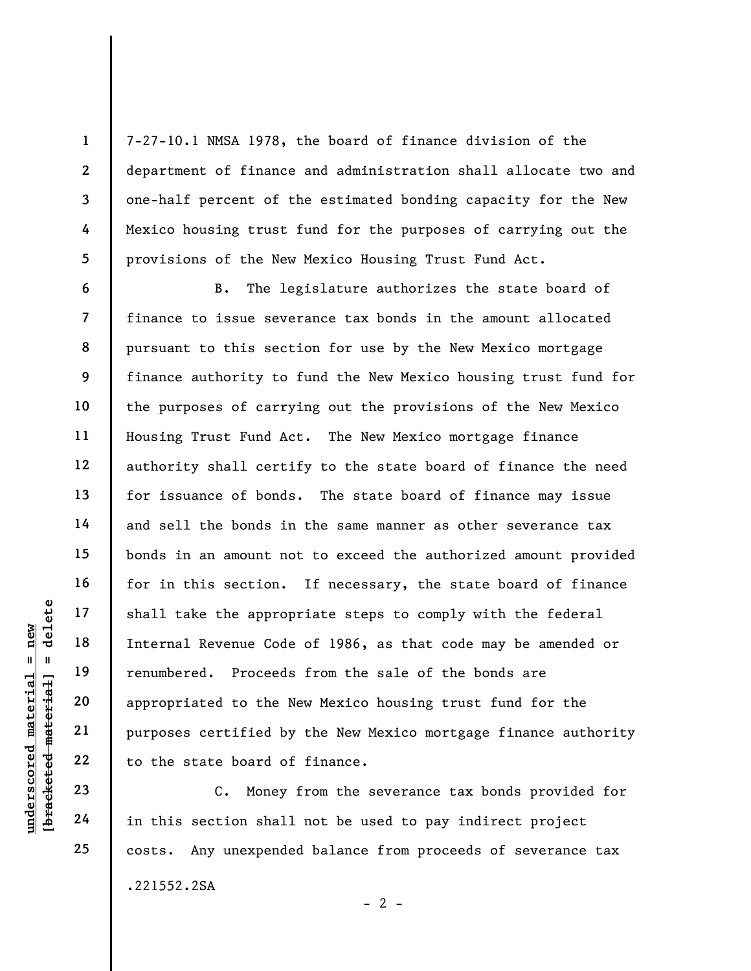7-27-10.1 NMSA 1978, the board of finance division of the department of finance and administration shall allocate two and one-half percent of the estimated bonding capacity for the New Mexico housing trust fund for the purposes of carrying out the provisions of the New Mexico Housing Trust Fund Act.

underscored material = new [bracketed material] = delete B. The legislature authorizes the state board of finance to issue severance tax bonds in the amount allocated pursuant to this section for use by the New Mexico mortgage finance authority to fund the New Mexico housing trust fund for the purposes of carrying out the provisions of the New Mexico Housing Trust Fund Act. The New Mexico mortgage finance authority shall certify to the state board of finance the need for issuance of bonds. The state board of finance may issue and sell the bonds in the same manner as other severance tax bonds in an amount not to exceed the authorized amount provided for in this section. If necessary, the state board of finance shall take the appropriate steps to comply with the federal Internal Revenue Code of 1986, as that code may be amended or renumbered. Proceeds from the sale of the bonds are appropriated to the New Mexico housing trust fund for the purposes certified by the New Mexico mortgage finance authority to the state board of finance.

C. Money from the severance tax bonds provided for in this section shall not be used to pay indirect project costs. Any unexpended balance from proceeds of severance tax .221552.2SA  $- 2 -$ 

1

2

3

4

5

6

7

8

9

10

11

12

13

14

15

16

17

18

19

20

21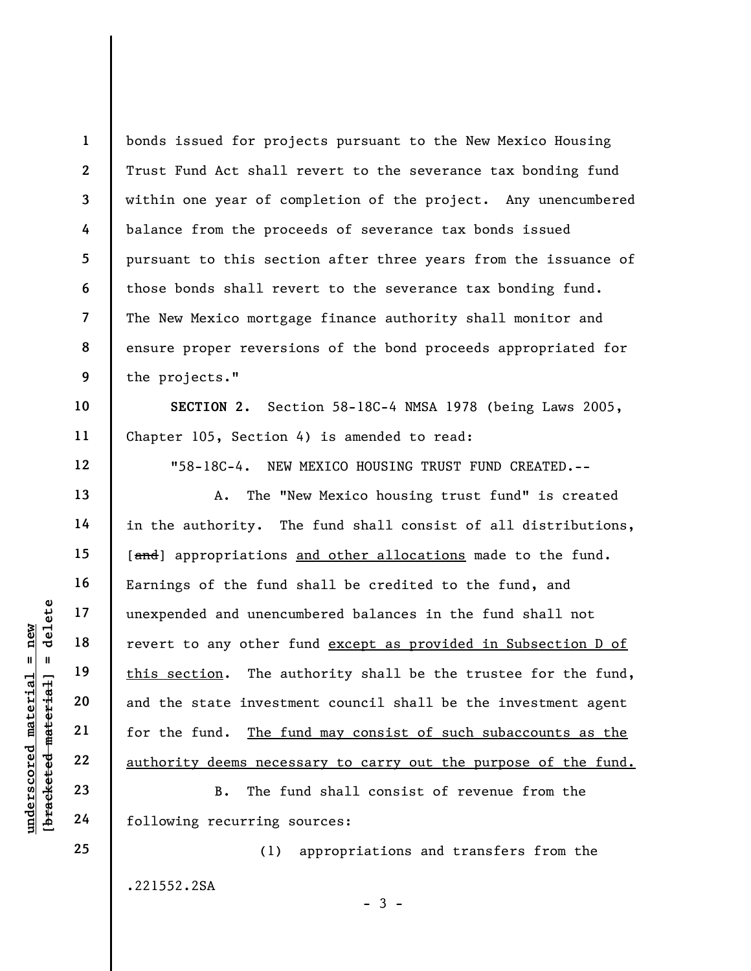1 2 3 4 5 6 7 8 9 bonds issued for projects pursuant to the New Mexico Housing Trust Fund Act shall revert to the severance tax bonding fund within one year of completion of the project. Any unencumbered balance from the proceeds of severance tax bonds issued pursuant to this section after three years from the issuance of those bonds shall revert to the severance tax bonding fund. The New Mexico mortgage finance authority shall monitor and ensure proper reversions of the bond proceeds appropriated for the projects."

SECTION 2. Section 58-18C-4 NMSA 1978 (being Laws 2005, Chapter 105, Section 4) is amended to read:

"58-18C-4. NEW MEXICO HOUSING TRUST FUND CREATED.--

underscored material = new [bracketed material] = delete A. The "New Mexico housing trust fund" is created in the authority. The fund shall consist of all distributions, [and] appropriations and other allocations made to the fund. Earnings of the fund shall be credited to the fund, and unexpended and unencumbered balances in the fund shall not revert to any other fund except as provided in Subsection D of this section. The authority shall be the trustee for the fund, and the state investment council shall be the investment agent for the fund. The fund may consist of such subaccounts as the authority deems necessary to carry out the purpose of the fund.

B. The fund shall consist of revenue from the following recurring sources:

(1) appropriations and transfers from the .221552.2SA

 $-3 -$ 

25

10

11

12

13

14

15

16

17

18

19

20

21

22

23

24